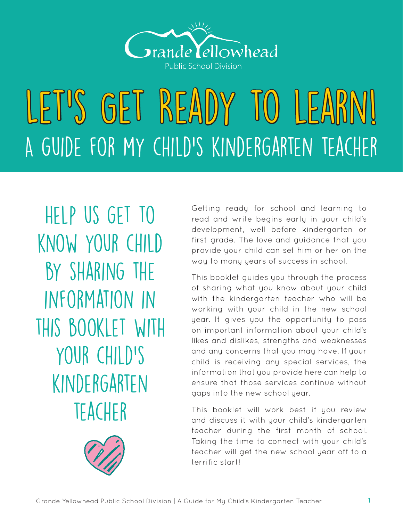

# LET'S GET READY TO LEARN! A guide for my child's kindergarten teacher

Help us get to know your child BY SHARING THE information in this booklet with your child's kindergarten **TEACHER** 



Getting ready for school and learning to read and write begins early in your child's development, well before kindergarten or first grade. The love and guidance that you provide your child can set him or her on the way to many years of success in school.

This booklet guides you through the process of sharing what you know about your child with the kindergarten teacher who will be working with your child in the new school year. It gives you the opportunity to pass on important information about your child's likes and dislikes, strengths and weaknesses and any concerns that you may have. If your child is receiving any special services, the information that you provide here can help to ensure that those services continue without gaps into the new school year.

This booklet will work best if you review and discuss it with your child's kindergarten teacher during the first month of school. Taking the time to connect with your child's teacher will get the new school year off to a terrific start!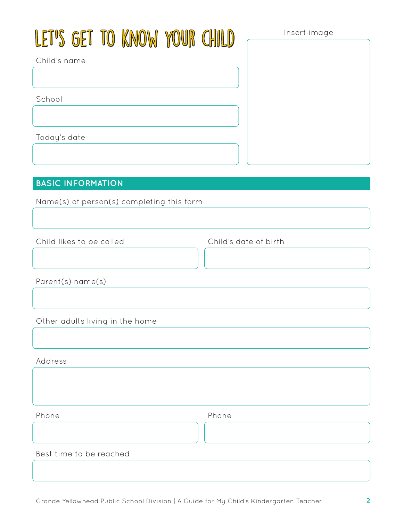# LET'S GET TO KNOW YOUR CHILD

Insert image

Child's name

School

Today's date

#### **BASIC INFORMATION**

Name(s) of person(s) completing this form

Child likes to be called

Child's date of birth

Parent(s) name(s)

Other adults living in the home

Address

Phone

Phone

Best time to be reached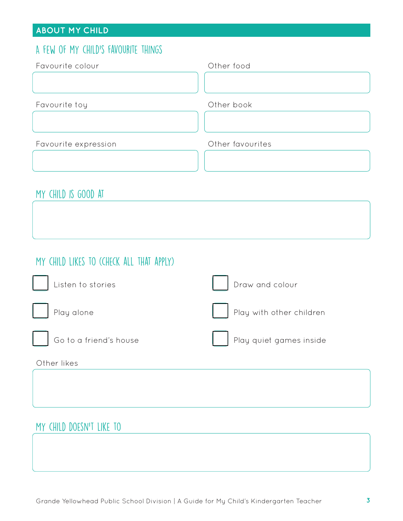#### **ABOUT MY CHILD**

### A few of my child's favourite things

| Favourite colour     | Other food       |
|----------------------|------------------|
|                      |                  |
|                      |                  |
| Favourite toy        | Other book       |
|                      |                  |
| Favourite expression | Other favourites |
|                      |                  |
|                      |                  |

# My child is good at

# My child likes to (check all that apply)

| Listen to stories      | Draw and colour          |
|------------------------|--------------------------|
| Play alone             | Play with other children |
| Go to a friend's house | Play quiet games inside  |
| Other likes            |                          |

# My child doesn't like to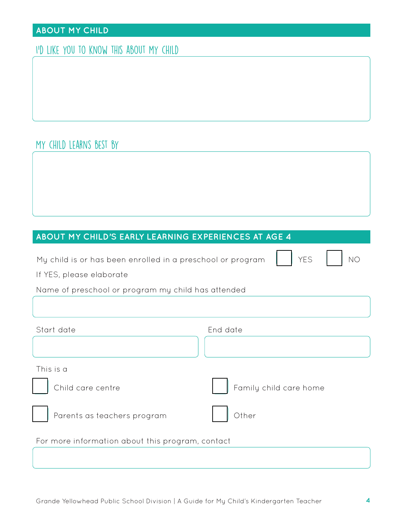#### **ABOUT MY CHILD**

#### I'd like you to know this about my child

# My child learns best by

#### **ABOUT MY CHILD'S EARLY LEARNING EXPERIENCES AT AGE 4**

My child is or has been enrolled in a preschool or program YES NO

If YES, please elaborate

|  | Name of preschool or program my child has attended |  |  |  |
|--|----------------------------------------------------|--|--|--|
|  |                                                    |  |  |  |

| Start date                                       | End date               |
|--------------------------------------------------|------------------------|
|                                                  |                        |
| This is a                                        |                        |
| Child care centre                                | Family child care home |
| Parents as teachers program                      | Other                  |
| For more information about this program, contact |                        |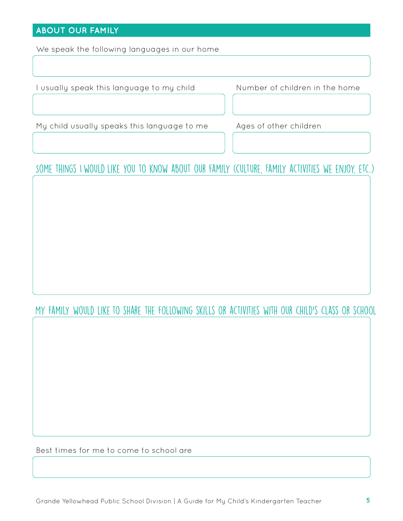#### **ABOUT OUR FAMILY**

We speak the following languages in our home

I usually speak this language to my child Number of children in the home

My child usually speaks this language to me Ages of other children

Some things I would like you to know about our family (culture, Family activities we enjoy, etc.)

My family would like to share the following skills or activities with our child's class or school

Best times for me to come to school are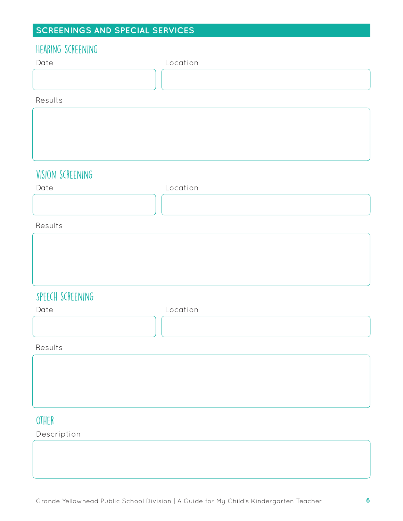# **SCREENINGS AND SPECIAL SERVICES**

| Date<br>Location<br>Results<br>VISION SCREENING<br>Location<br>Date<br>Results<br>SPEECH SCREENING<br>Location<br>Date<br>Results | HEARING SCREENING |  |
|-----------------------------------------------------------------------------------------------------------------------------------|-------------------|--|
|                                                                                                                                   |                   |  |
|                                                                                                                                   |                   |  |
|                                                                                                                                   |                   |  |
|                                                                                                                                   |                   |  |
|                                                                                                                                   |                   |  |
|                                                                                                                                   |                   |  |
|                                                                                                                                   |                   |  |
|                                                                                                                                   |                   |  |
|                                                                                                                                   |                   |  |
|                                                                                                                                   |                   |  |
|                                                                                                                                   |                   |  |
|                                                                                                                                   |                   |  |
|                                                                                                                                   |                   |  |
|                                                                                                                                   |                   |  |
|                                                                                                                                   |                   |  |
|                                                                                                                                   |                   |  |
|                                                                                                                                   |                   |  |
|                                                                                                                                   |                   |  |
|                                                                                                                                   |                   |  |
|                                                                                                                                   |                   |  |
|                                                                                                                                   |                   |  |
|                                                                                                                                   |                   |  |
|                                                                                                                                   |                   |  |
|                                                                                                                                   |                   |  |
|                                                                                                                                   |                   |  |
|                                                                                                                                   |                   |  |
| OTHER                                                                                                                             |                   |  |

Description